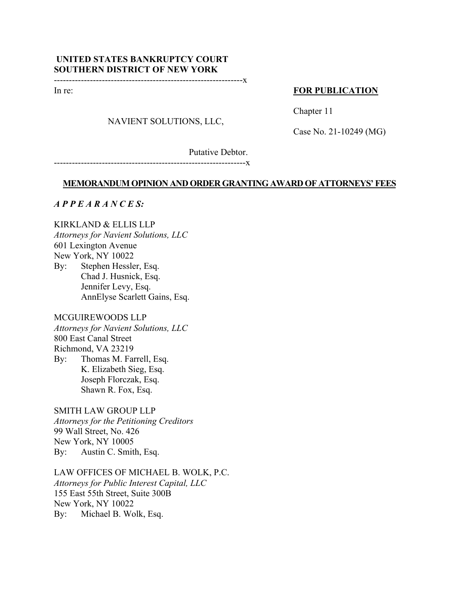# **UNITED STATES BANKRUPTCY COURT SOUTHERN DISTRICT OF NEW YORK**

---------------------------------------------------------------x

In re:

## **FOR PUBLICATION**

### NAVIENT SOLUTIONS, LLC,

Chapter 11

Case No. 21-10249 (MG)

Putative Debtor.

----------------------------------------------------------------x

#### **MEMORANDUM OPINION AND ORDER GRANTING AWARD OF ATTORNEYS' FEES**

#### *A P P E A R A N C E S:*

#### KIRKLAND & ELLIS LLP

*Attorneys for Navient Solutions, LLC*  601 Lexington Avenue

New York, NY 10022

By: Stephen Hessler, Esq. Chad J. Husnick, Esq. Jennifer Levy, Esq. AnnElyse Scarlett Gains, Esq.

#### MCGUIREWOODS LLP

*Attorneys for Navient Solutions, LLC*  800 East Canal Street Richmond, VA 23219 By: Thomas M. Farrell, Esq.

 K. Elizabeth Sieg, Esq. Joseph Florczak, Esq. Shawn R. Fox, Esq.

### SMITH LAW GROUP LLP

*Attorneys for the Petitioning Creditors*  99 Wall Street, No. 426 New York, NY 10005 By: Austin C. Smith, Esq.

LAW OFFICES OF MICHAEL B. WOLK, P.C. *Attorneys for Public Interest Capital, LLC*  155 East 55th Street, Suite 300B New York, NY 10022 By: Michael B. Wolk, Esq.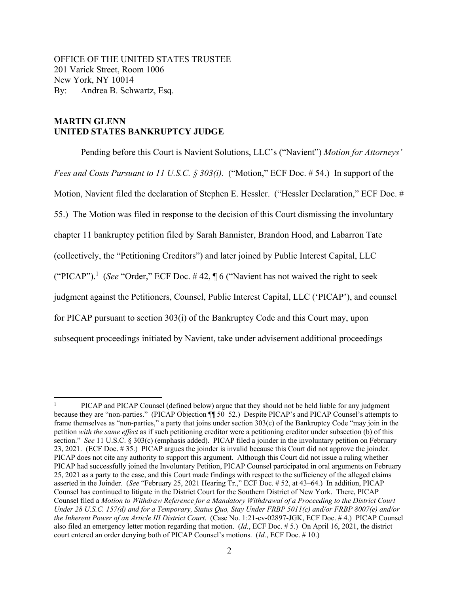OFFICE OF THE UNITED STATES TRUSTEE 201 Varick Street, Room 1006 New York, NY 10014 By: Andrea B. Schwartz, Esq.

## **MARTIN GLENN UNITED STATES BANKRUPTCY JUDGE**

Pending before this Court is Navient Solutions, LLC's ("Navient") *Motion for Attorneys' Fees and Costs Pursuant to 11 U.S.C. § 303(i)*. ("Motion," ECF Doc. # 54.) In support of the Motion, Navient filed the declaration of Stephen E. Hessler. ("Hessler Declaration," ECF Doc. # 55.) The Motion was filed in response to the decision of this Court dismissing the involuntary chapter 11 bankruptcy petition filed by Sarah Bannister, Brandon Hood, and Labarron Tate (collectively, the "Petitioning Creditors") and later joined by Public Interest Capital, LLC ("PICAP").<sup>1</sup> (*See* "Order," ECF Doc. #42,  $\P$  6 ("Navient has not waived the right to seek judgment against the Petitioners, Counsel, Public Interest Capital, LLC ('PICAP'), and counsel for PICAP pursuant to section 303(i) of the Bankruptcy Code and this Court may, upon subsequent proceedings initiated by Navient, take under advisement additional proceedings

<sup>1</sup> PICAP and PICAP Counsel (defined below) argue that they should not be held liable for any judgment because they are "non-parties." (PICAP Objection ¶¶ 50–52.) Despite PICAP's and PICAP Counsel's attempts to frame themselves as "non-parties," a party that joins under section 303(c) of the Bankruptcy Code "may join in the petition *with the same effect* as if such petitioning creditor were a petitioning creditor under subsection (b) of this section." *See* 11 U.S.C. § 303(c) (emphasis added). PICAP filed a joinder in the involuntary petition on February 23, 2021. (ECF Doc. # 35.) PICAP argues the joinder is invalid because this Court did not approve the joinder. PICAP does not cite any authority to support this argument. Although this Court did not issue a ruling whether PICAP had successfully joined the Involuntary Petition, PICAP Counsel participated in oral arguments on February 25, 2021 as a party to the case, and this Court made findings with respect to the sufficiency of the alleged claims asserted in the Joinder. (*See* "February 25, 2021 Hearing Tr.," ECF Doc. # 52, at 43–64.) In addition, PICAP Counsel has continued to litigate in the District Court for the Southern District of New York. There, PICAP Counsel filed a *Motion to Withdraw Reference for a Mandatory Withdrawal of a Proceeding to the District Court Under 28 U.S.C. 157(d) and for a Temporary, Status Quo, Stay Under FRBP 5011(c) and/or FRBP 8007(e) and/or the Inherent Power of an Article III District Court*. (Case No. 1:21-cv-02897-JGK, ECF Doc. # 4.) PICAP Counsel also filed an emergency letter motion regarding that motion. (*Id.*, ECF Doc. # 5.) On April 16, 2021, the district court entered an order denying both of PICAP Counsel's motions. (*Id.*, ECF Doc. # 10.)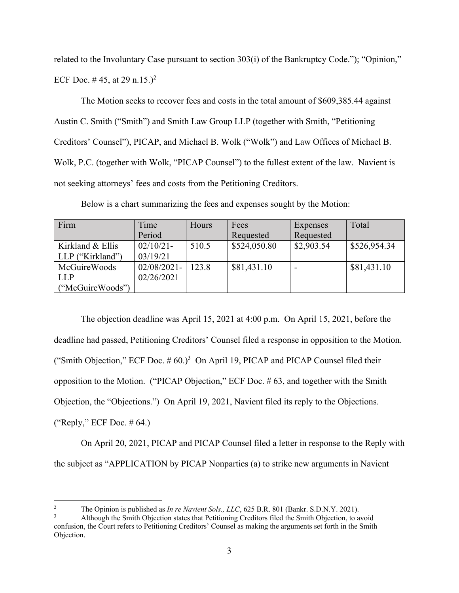related to the Involuntary Case pursuant to section 303(i) of the Bankruptcy Code."); "Opinion," ECF Doc. #45, at 29 n.15.)<sup>2</sup>

The Motion seeks to recover fees and costs in the total amount of \$609,385.44 against Austin C. Smith ("Smith") and Smith Law Group LLP (together with Smith, "Petitioning Creditors' Counsel"), PICAP, and Michael B. Wolk ("Wolk") and Law Offices of Michael B. Wolk, P.C. (together with Wolk, "PICAP Counsel") to the fullest extent of the law. Navient is not seeking attorneys' fees and costs from the Petitioning Creditors.

| Firm                | Time           | <b>Hours</b> | Fees         | Expenses   | Total        |
|---------------------|----------------|--------------|--------------|------------|--------------|
|                     | Period         |              | Requested    | Requested  |              |
| Kirkland & Ellis    | $02/10/21$ -   | 510.5        | \$524,050.80 | \$2,903.54 | \$526,954.34 |
| LLP ("Kirkland")    | 03/19/21       |              |              |            |              |
| <b>McGuireWoods</b> | $02/08/2021$ - | 123.8        | \$81,431.10  |            | \$81,431.10  |

Below is a chart summarizing the fees and expenses sought by the Motion:

LLP

("McGuireWoods")

02/26/2021

The objection deadline was April 15, 2021 at 4:00 p.m. On April 15, 2021, before the deadline had passed, Petitioning Creditors' Counsel filed a response in opposition to the Motion. ("Smith Objection," ECF Doc.  $# 60$ .)<sup>3</sup> On April 19, PICAP and PICAP Counsel filed their opposition to the Motion. ("PICAP Objection," ECF Doc. # 63, and together with the Smith Objection, the "Objections.") On April 19, 2021, Navient filed its reply to the Objections. ("Reply," ECF Doc.  $\#$  64.)

On April 20, 2021, PICAP and PICAP Counsel filed a letter in response to the Reply with the subject as "APPLICATION by PICAP Nonparties (a) to strike new arguments in Navient

<sup>2</sup> The Opinion is published as *In re Navient Sols., LLC*, 625 B.R. 801 (Bankr. S.D.N.Y. 2021).

<sup>3</sup> Although the Smith Objection states that Petitioning Creditors filed the Smith Objection, to avoid confusion, the Court refers to Petitioning Creditors' Counsel as making the arguments set forth in the Smith Objection.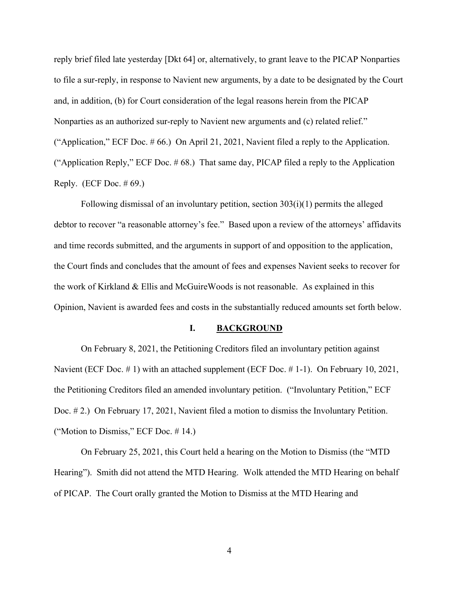reply brief filed late yesterday [Dkt 64] or, alternatively, to grant leave to the PICAP Nonparties to file a sur-reply, in response to Navient new arguments, by a date to be designated by the Court and, in addition, (b) for Court consideration of the legal reasons herein from the PICAP Nonparties as an authorized sur-reply to Navient new arguments and (c) related relief." ("Application," ECF Doc. # 66.) On April 21, 2021, Navient filed a reply to the Application. ("Application Reply," ECF Doc. # 68.) That same day, PICAP filed a reply to the Application Reply. (ECF Doc.  $\#$  69.)

 Following dismissal of an involuntary petition, section 303(i)(1) permits the alleged debtor to recover "a reasonable attorney's fee." Based upon a review of the attorneys' affidavits and time records submitted, and the arguments in support of and opposition to the application, the Court finds and concludes that the amount of fees and expenses Navient seeks to recover for the work of Kirkland & Ellis and McGuireWoods is not reasonable. As explained in this Opinion, Navient is awarded fees and costs in the substantially reduced amounts set forth below.

#### **I. BACKGROUND**

On February 8, 2021, the Petitioning Creditors filed an involuntary petition against Navient (ECF Doc. # 1) with an attached supplement (ECF Doc. # 1-1). On February 10, 2021, the Petitioning Creditors filed an amended involuntary petition. ("Involuntary Petition," ECF Doc. # 2.) On February 17, 2021, Navient filed a motion to dismiss the Involuntary Petition. ("Motion to Dismiss," ECF Doc. # 14.)

On February 25, 2021, this Court held a hearing on the Motion to Dismiss (the "MTD Hearing"). Smith did not attend the MTD Hearing. Wolk attended the MTD Hearing on behalf of PICAP. The Court orally granted the Motion to Dismiss at the MTD Hearing and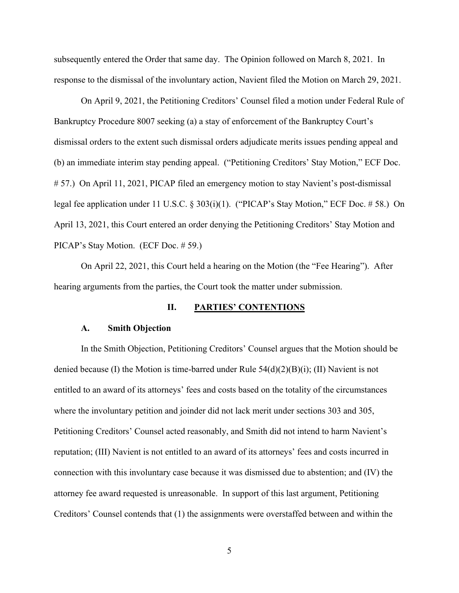subsequently entered the Order that same day. The Opinion followed on March 8, 2021. In response to the dismissal of the involuntary action, Navient filed the Motion on March 29, 2021.

On April 9, 2021, the Petitioning Creditors' Counsel filed a motion under Federal Rule of Bankruptcy Procedure 8007 seeking (a) a stay of enforcement of the Bankruptcy Court's dismissal orders to the extent such dismissal orders adjudicate merits issues pending appeal and (b) an immediate interim stay pending appeal. ("Petitioning Creditors' Stay Motion," ECF Doc. # 57.) On April 11, 2021, PICAP filed an emergency motion to stay Navient's post-dismissal legal fee application under 11 U.S.C. § 303(i)(1). ("PICAP's Stay Motion," ECF Doc. # 58.) On April 13, 2021, this Court entered an order denying the Petitioning Creditors' Stay Motion and PICAP's Stay Motion. (ECF Doc. # 59.)

On April 22, 2021, this Court held a hearing on the Motion (the "Fee Hearing"). After hearing arguments from the parties, the Court took the matter under submission.

#### **II. PARTIES' CONTENTIONS**

#### **A. Smith Objection**

In the Smith Objection, Petitioning Creditors' Counsel argues that the Motion should be denied because (I) the Motion is time-barred under Rule  $54(d)(2)(B)(i)$ ; (II) Navient is not entitled to an award of its attorneys' fees and costs based on the totality of the circumstances where the involuntary petition and joinder did not lack merit under sections 303 and 305, Petitioning Creditors' Counsel acted reasonably, and Smith did not intend to harm Navient's reputation; (III) Navient is not entitled to an award of its attorneys' fees and costs incurred in connection with this involuntary case because it was dismissed due to abstention; and (IV) the attorney fee award requested is unreasonable. In support of this last argument, Petitioning Creditors' Counsel contends that (1) the assignments were overstaffed between and within the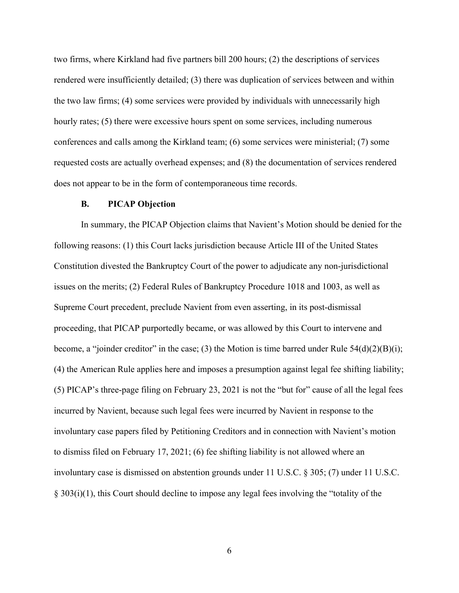two firms, where Kirkland had five partners bill 200 hours; (2) the descriptions of services rendered were insufficiently detailed; (3) there was duplication of services between and within the two law firms; (4) some services were provided by individuals with unnecessarily high hourly rates; (5) there were excessive hours spent on some services, including numerous conferences and calls among the Kirkland team; (6) some services were ministerial; (7) some requested costs are actually overhead expenses; and (8) the documentation of services rendered does not appear to be in the form of contemporaneous time records.

#### **B. PICAP Objection**

In summary, the PICAP Objection claims that Navient's Motion should be denied for the following reasons: (1) this Court lacks jurisdiction because Article III of the United States Constitution divested the Bankruptcy Court of the power to adjudicate any non-jurisdictional issues on the merits; (2) Federal Rules of Bankruptcy Procedure 1018 and 1003, as well as Supreme Court precedent, preclude Navient from even asserting, in its post-dismissal proceeding, that PICAP purportedly became, or was allowed by this Court to intervene and become, a "joinder creditor" in the case; (3) the Motion is time barred under Rule  $54(d)(2)(B)(i)$ ; (4) the American Rule applies here and imposes a presumption against legal fee shifting liability; (5) PICAP's three-page filing on February 23, 2021 is not the "but for" cause of all the legal fees incurred by Navient, because such legal fees were incurred by Navient in response to the involuntary case papers filed by Petitioning Creditors and in connection with Navient's motion to dismiss filed on February 17, 2021; (6) fee shifting liability is not allowed where an involuntary case is dismissed on abstention grounds under 11 U.S.C. § 305; (7) under 11 U.S.C. § 303(i)(1), this Court should decline to impose any legal fees involving the "totality of the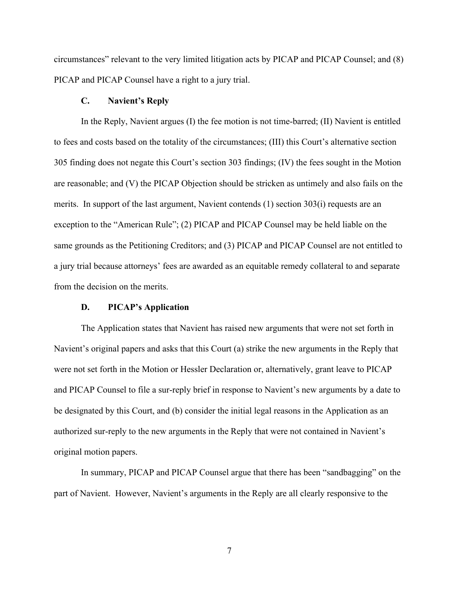circumstances" relevant to the very limited litigation acts by PICAP and PICAP Counsel; and (8) PICAP and PICAP Counsel have a right to a jury trial.

#### **C. Navient's Reply**

In the Reply, Navient argues (I) the fee motion is not time-barred; (II) Navient is entitled to fees and costs based on the totality of the circumstances; (III) this Court's alternative section 305 finding does not negate this Court's section 303 findings; (IV) the fees sought in the Motion are reasonable; and (V) the PICAP Objection should be stricken as untimely and also fails on the merits. In support of the last argument, Navient contends (1) section 303(i) requests are an exception to the "American Rule"; (2) PICAP and PICAP Counsel may be held liable on the same grounds as the Petitioning Creditors; and (3) PICAP and PICAP Counsel are not entitled to a jury trial because attorneys' fees are awarded as an equitable remedy collateral to and separate from the decision on the merits.

#### **D. PICAP's Application**

The Application states that Navient has raised new arguments that were not set forth in Navient's original papers and asks that this Court (a) strike the new arguments in the Reply that were not set forth in the Motion or Hessler Declaration or, alternatively, grant leave to PICAP and PICAP Counsel to file a sur-reply brief in response to Navient's new arguments by a date to be designated by this Court, and (b) consider the initial legal reasons in the Application as an authorized sur-reply to the new arguments in the Reply that were not contained in Navient's original motion papers.

In summary, PICAP and PICAP Counsel argue that there has been "sandbagging" on the part of Navient. However, Navient's arguments in the Reply are all clearly responsive to the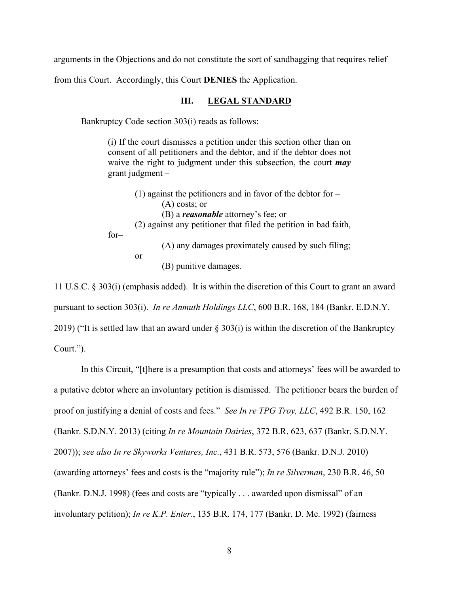arguments in the Objections and do not constitute the sort of sandbagging that requires relief

from this Court. Accordingly, this Court **DENIES** the Application.

### **III. LEGAL STANDARD**

Bankruptcy Code section 303(i) reads as follows:

(i) If the court dismisses a petition under this section other than on consent of all petitioners and the debtor, and if the debtor does not waive the right to judgment under this subsection, the court *may* grant judgment –

(1) against the petitioners and in favor of the debtor for  $-$ (A) costs; or (B) a *reasonable* attorney's fee; or (2) against any petitioner that filed the petition in bad faith,

for–

(A) any damages proximately caused by such filing; or (B) punitive damages.

11 U.S.C. § 303(i) (emphasis added). It is within the discretion of this Court to grant an award pursuant to section 303(i). *In re Anmuth Holdings LLC*, 600 B.R. 168, 184 (Bankr. E.D.N.Y. 2019) ("It is settled law that an award under § 303(i) is within the discretion of the Bankruptcy Court.").

In this Circuit, "[t]here is a presumption that costs and attorneys' fees will be awarded to a putative debtor where an involuntary petition is dismissed. The petitioner bears the burden of proof on justifying a denial of costs and fees." *See In re TPG Troy, LLC*, 492 B.R. 150, 162 (Bankr. S.D.N.Y. 2013) (citing *In re Mountain Dairies*, 372 B.R. 623, 637 (Bankr. S.D.N.Y. 2007)); *see also In re Skyworks Ventures, Inc.*, 431 B.R. 573, 576 (Bankr. D.N.J. 2010) (awarding attorneys' fees and costs is the "majority rule"); *In re Silverman*, 230 B.R. 46, 50 (Bankr. D.N.J. 1998) (fees and costs are "typically . . . awarded upon dismissal" of an involuntary petition); *In re K.P. Enter.*, 135 B.R. 174, 177 (Bankr. D. Me. 1992) (fairness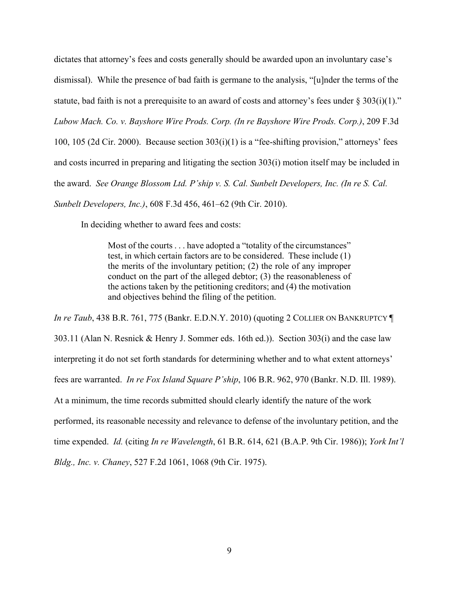dictates that attorney's fees and costs generally should be awarded upon an involuntary case's dismissal). While the presence of bad faith is germane to the analysis, "[u]nder the terms of the statute, bad faith is not a prerequisite to an award of costs and attorney's fees under  $\S 303(i)(1)$ ." *Lubow Mach. Co. v. Bayshore Wire Prods. Corp. (In re Bayshore Wire Prods. Corp.)*, 209 F.3d 100, 105 (2d Cir. 2000). Because section 303(i)(1) is a "fee-shifting provision," attorneys' fees and costs incurred in preparing and litigating the section 303(i) motion itself may be included in the award. *See Orange Blossom Ltd. P'ship v. S. Cal. Sunbelt Developers, Inc. (In re S. Cal. Sunbelt Developers, Inc.)*, 608 F.3d 456, 461–62 (9th Cir. 2010).

In deciding whether to award fees and costs:

Most of the courts . . . have adopted a "totality of the circumstances" test, in which certain factors are to be considered. These include (1) the merits of the involuntary petition; (2) the role of any improper conduct on the part of the alleged debtor; (3) the reasonableness of the actions taken by the petitioning creditors; and (4) the motivation and objectives behind the filing of the petition.

*In re Taub*, 438 B.R. 761, 775 (Bankr. E.D.N.Y. 2010) (quoting 2 COLLIER ON BANKRUPTCY ¶ 303.11 (Alan N. Resnick & Henry J. Sommer eds. 16th ed.)). Section 303(i) and the case law interpreting it do not set forth standards for determining whether and to what extent attorneys' fees are warranted. *In re Fox Island Square P'ship*, 106 B.R. 962, 970 (Bankr. N.D. Ill. 1989). At a minimum, the time records submitted should clearly identify the nature of the work performed, its reasonable necessity and relevance to defense of the involuntary petition, and the time expended. *Id.* (citing *In re Wavelength*, 61 B.R. 614, 621 (B.A.P. 9th Cir. 1986)); *York Int'l Bldg., Inc. v. Chaney*, 527 F.2d 1061, 1068 (9th Cir. 1975).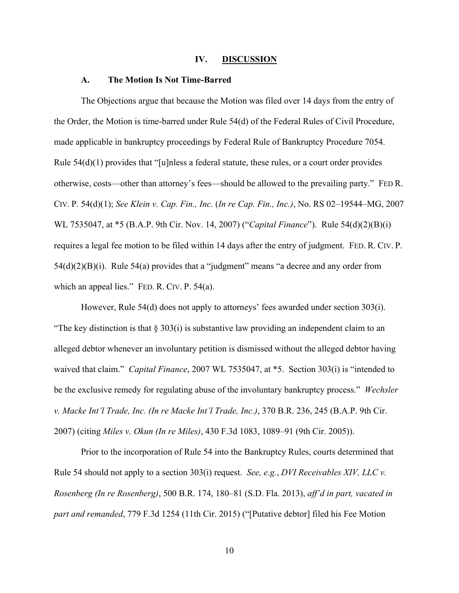#### **IV. DISCUSSION**

#### **A. The Motion Is Not Time-Barred**

The Objections argue that because the Motion was filed over 14 days from the entry of the Order, the Motion is time-barred under Rule 54(d) of the Federal Rules of Civil Procedure, made applicable in bankruptcy proceedings by Federal Rule of Bankruptcy Procedure 7054. Rule  $54(d)(1)$  provides that "[u]nless a federal statute, these rules, or a court order provides otherwise, costs—other than attorney's fees—should be allowed to the prevailing party." FED R. CIV. P. 54(d)(1); *See Klein v. Cap. Fin., Inc.* (*In re Cap. Fin., Inc.)*, No. RS 02–19544–MG, 2007 WL 7535047, at \*5 (B.A.P. 9th Cir. Nov. 14, 2007) ("*Capital Finance*"). Rule 54(d)(2)(B)(i) requires a legal fee motion to be filed within 14 days after the entry of judgment. FED. R. CIV. P.  $54(d)(2)(B)(i)$ . Rule  $54(a)$  provides that a "judgment" means "a decree and any order from which an appeal lies." FED. R. CIV. P. 54(a).

However, Rule 54(d) does not apply to attorneys' fees awarded under section 303(i). "The key distinction is that  $\S 303(i)$  is substantive law providing an independent claim to an alleged debtor whenever an involuntary petition is dismissed without the alleged debtor having waived that claim." *Capital Finance*, 2007 WL 7535047, at \*5. Section 303(i) is "intended to be the exclusive remedy for regulating abuse of the involuntary bankruptcy process." *Wechsler v. Macke Int'l Trade, Inc. (In re Macke Int'l Trade, Inc.)*, 370 B.R. 236, 245 (B.A.P. 9th Cir. 2007) (citing *Miles v. Okun (In re Miles)*, 430 F.3d 1083, 1089–91 (9th Cir. 2005)).

Prior to the incorporation of Rule 54 into the Bankruptcy Rules, courts determined that Rule 54 should not apply to a section 303(i) request. *See, e.g.*, *DVI Receivables XIV, LLC v. Rosenberg (In re Rosenberg)*, 500 B.R. 174, 180–81 (S.D. Fla. 2013), *aff'd in part, vacated in part and remanded*, 779 F.3d 1254 (11th Cir. 2015) ("[Putative debtor] filed his Fee Motion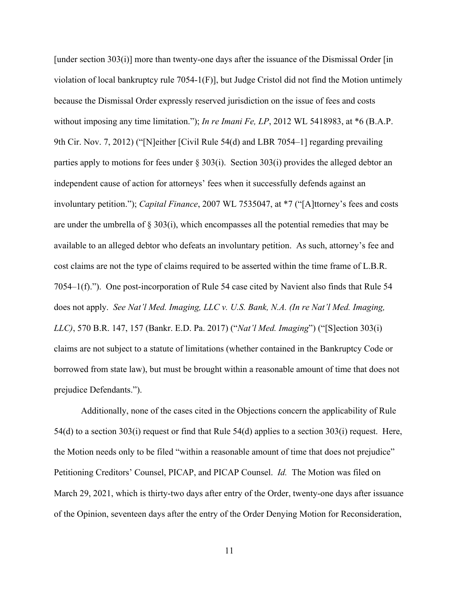[under section 303(i)] more than twenty-one days after the issuance of the Dismissal Order [in] violation of local bankruptcy rule 7054-1(F)], but Judge Cristol did not find the Motion untimely because the Dismissal Order expressly reserved jurisdiction on the issue of fees and costs without imposing any time limitation."); *In re Imani Fe, LP*, 2012 WL 5418983, at \*6 (B.A.P. 9th Cir. Nov. 7, 2012) ("[N]either [Civil Rule 54(d) and LBR 7054–1] regarding prevailing parties apply to motions for fees under  $\S 303(i)$ . Section 303(i) provides the alleged debtor an independent cause of action for attorneys' fees when it successfully defends against an involuntary petition."); *Capital Finance*, 2007 WL 7535047, at \*7 ("[A]ttorney's fees and costs are under the umbrella of § 303(i), which encompasses all the potential remedies that may be available to an alleged debtor who defeats an involuntary petition. As such, attorney's fee and cost claims are not the type of claims required to be asserted within the time frame of L.B.R. 7054–1(f)."). One post-incorporation of Rule 54 case cited by Navient also finds that Rule 54 does not apply. *See Nat'l Med. Imaging, LLC v. U.S. Bank, N.A. (In re Nat'l Med. Imaging, LLC)*, 570 B.R. 147, 157 (Bankr. E.D. Pa. 2017) ("*Nat'l Med. Imaging*") ("[S]ection 303(i) claims are not subject to a statute of limitations (whether contained in the Bankruptcy Code or borrowed from state law), but must be brought within a reasonable amount of time that does not prejudice Defendants.").

Additionally, none of the cases cited in the Objections concern the applicability of Rule 54(d) to a section 303(i) request or find that Rule 54(d) applies to a section 303(i) request. Here, the Motion needs only to be filed "within a reasonable amount of time that does not prejudice" Petitioning Creditors' Counsel, PICAP, and PICAP Counsel. *Id.* The Motion was filed on March 29, 2021, which is thirty-two days after entry of the Order, twenty-one days after issuance of the Opinion, seventeen days after the entry of the Order Denying Motion for Reconsideration,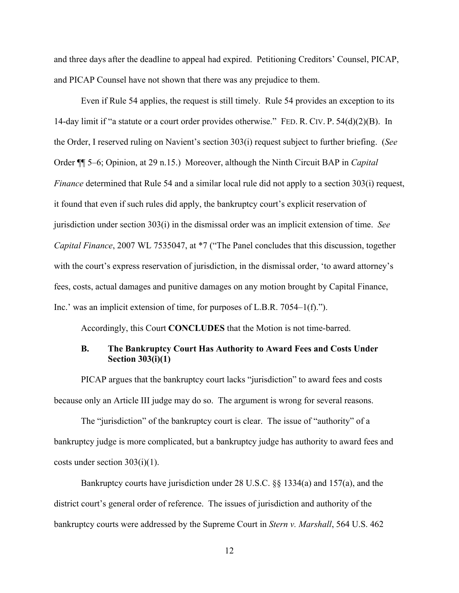and three days after the deadline to appeal had expired. Petitioning Creditors' Counsel, PICAP, and PICAP Counsel have not shown that there was any prejudice to them.

Even if Rule 54 applies, the request is still timely. Rule 54 provides an exception to its 14-day limit if "a statute or a court order provides otherwise." FED. R. CIV. P. 54(d)(2)(B). In the Order, I reserved ruling on Navient's section 303(i) request subject to further briefing. (*See* Order ¶¶ 5–6; Opinion, at 29 n.15.) Moreover, although the Ninth Circuit BAP in *Capital Finance* determined that Rule 54 and a similar local rule did not apply to a section 303(i) request, it found that even if such rules did apply, the bankruptcy court's explicit reservation of jurisdiction under section 303(i) in the dismissal order was an implicit extension of time. *See Capital Finance*, 2007 WL 7535047, at \*7 ("The Panel concludes that this discussion, together with the court's express reservation of jurisdiction, in the dismissal order, 'to award attorney's fees, costs, actual damages and punitive damages on any motion brought by Capital Finance, Inc.' was an implicit extension of time, for purposes of L.B.R. 7054–1(f).").

Accordingly, this Court **CONCLUDES** that the Motion is not time-barred.

### **B. The Bankruptcy Court Has Authority to Award Fees and Costs Under Section 303(i)(1)**

PICAP argues that the bankruptcy court lacks "jurisdiction" to award fees and costs because only an Article III judge may do so. The argument is wrong for several reasons.

The "jurisdiction" of the bankruptcy court is clear. The issue of "authority" of a bankruptcy judge is more complicated, but a bankruptcy judge has authority to award fees and costs under section 303(i)(1).

Bankruptcy courts have jurisdiction under 28 U.S.C. §§ 1334(a) and 157(a), and the district court's general order of reference. The issues of jurisdiction and authority of the bankruptcy courts were addressed by the Supreme Court in *Stern v. Marshall*, 564 U.S. 462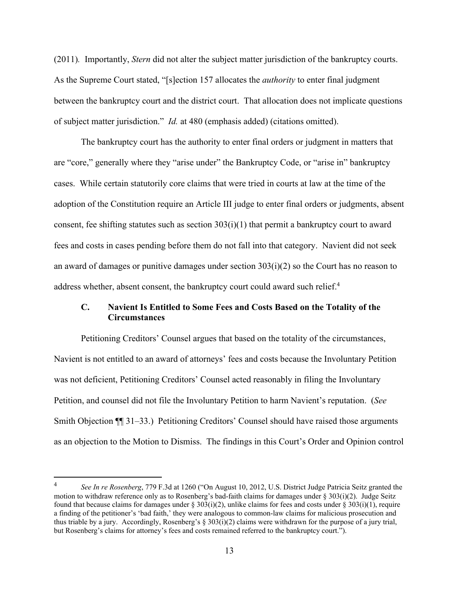(2011)*.* Importantly, *Stern* did not alter the subject matter jurisdiction of the bankruptcy courts. As the Supreme Court stated, "[s]ection 157 allocates the *authority* to enter final judgment between the bankruptcy court and the district court. That allocation does not implicate questions of subject matter jurisdiction." *Id.* at 480 (emphasis added) (citations omitted).

The bankruptcy court has the authority to enter final orders or judgment in matters that are "core," generally where they "arise under" the Bankruptcy Code, or "arise in" bankruptcy cases. While certain statutorily core claims that were tried in courts at law at the time of the adoption of the Constitution require an Article III judge to enter final orders or judgments, absent consent, fee shifting statutes such as section 303(i)(1) that permit a bankruptcy court to award fees and costs in cases pending before them do not fall into that category. Navient did not seek an award of damages or punitive damages under section 303(i)(2) so the Court has no reason to address whether, absent consent, the bankruptcy court could award such relief.<sup>4</sup>

### **C. Navient Is Entitled to Some Fees and Costs Based on the Totality of the Circumstances**

Petitioning Creditors' Counsel argues that based on the totality of the circumstances, Navient is not entitled to an award of attorneys' fees and costs because the Involuntary Petition was not deficient, Petitioning Creditors' Counsel acted reasonably in filing the Involuntary Petition, and counsel did not file the Involuntary Petition to harm Navient's reputation. (*See* Smith Objection ¶¶ 31–33.) Petitioning Creditors' Counsel should have raised those arguments as an objection to the Motion to Dismiss. The findings in this Court's Order and Opinion control

<sup>4</sup> *See In re Rosenberg*, 779 F.3d at 1260 ("On August 10, 2012, U.S. District Judge Patricia Seitz granted the motion to withdraw reference only as to Rosenberg's bad-faith claims for damages under § 303(i)(2). Judge Seitz found that because claims for damages under  $\S 303(i)(2)$ , unlike claims for fees and costs under  $\S 303(i)(1)$ , require a finding of the petitioner's 'bad faith,' they were analogous to common-law claims for malicious prosecution and thus triable by a jury. Accordingly, Rosenberg's  $\S 303(i)(2)$  claims were withdrawn for the purpose of a jury trial, but Rosenberg's claims for attorney's fees and costs remained referred to the bankruptcy court.").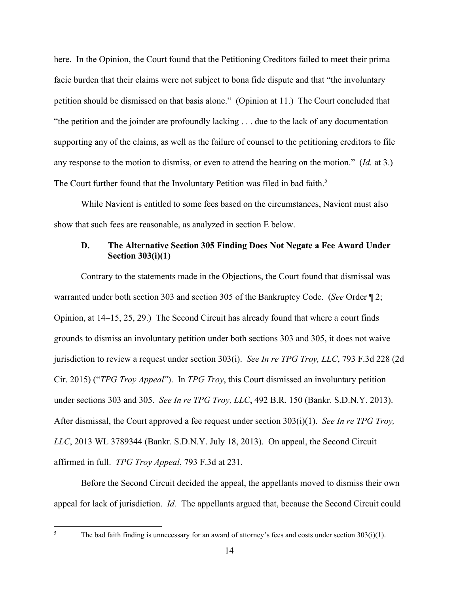here. In the Opinion, the Court found that the Petitioning Creditors failed to meet their prima facie burden that their claims were not subject to bona fide dispute and that "the involuntary petition should be dismissed on that basis alone." (Opinion at 11.) The Court concluded that "the petition and the joinder are profoundly lacking . . . due to the lack of any documentation supporting any of the claims, as well as the failure of counsel to the petitioning creditors to file any response to the motion to dismiss, or even to attend the hearing on the motion." (*Id.* at 3.) The Court further found that the Involuntary Petition was filed in bad faith.<sup>5</sup>

While Navient is entitled to some fees based on the circumstances, Navient must also show that such fees are reasonable, as analyzed in section E below.

# **D. The Alternative Section 305 Finding Does Not Negate a Fee Award Under Section 303(i)(1)**

Contrary to the statements made in the Objections, the Court found that dismissal was warranted under both section 303 and section 305 of the Bankruptcy Code. (*See* Order ¶ 2; Opinion, at 14–15, 25, 29.) The Second Circuit has already found that where a court finds grounds to dismiss an involuntary petition under both sections 303 and 305, it does not waive jurisdiction to review a request under section 303(i). *See In re TPG Troy, LLC*, 793 F.3d 228 (2d Cir. 2015) ("*TPG Troy Appeal*"). In *TPG Troy*, this Court dismissed an involuntary petition under sections 303 and 305. *See In re TPG Troy, LLC*, 492 B.R. 150 (Bankr. S.D.N.Y. 2013). After dismissal, the Court approved a fee request under section 303(i)(1). *See In re TPG Troy, LLC*, 2013 WL 3789344 (Bankr. S.D.N.Y. July 18, 2013). On appeal, the Second Circuit affirmed in full. *TPG Troy Appeal*, 793 F.3d at 231.

Before the Second Circuit decided the appeal, the appellants moved to dismiss their own appeal for lack of jurisdiction. *Id.* The appellants argued that, because the Second Circuit could

The bad faith finding is unnecessary for an award of attorney's fees and costs under section 303(i)(1).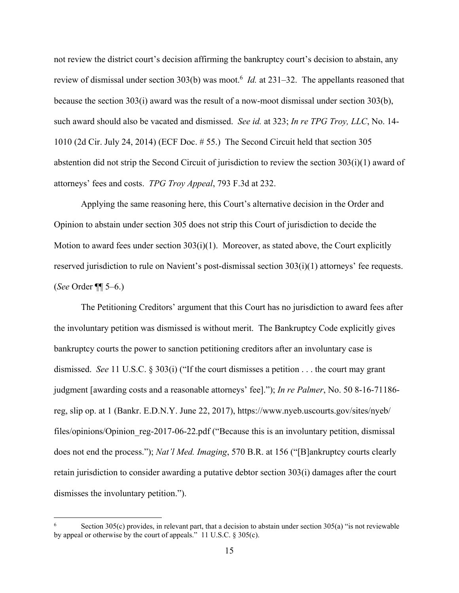not review the district court's decision affirming the bankruptcy court's decision to abstain, any review of dismissal under section 303(b) was moot.<sup>6</sup> *Id.* at 231–32. The appellants reasoned that because the section 303(i) award was the result of a now-moot dismissal under section 303(b), such award should also be vacated and dismissed. *See id.* at 323; *In re TPG Troy, LLC*, No. 14- 1010 (2d Cir. July 24, 2014) (ECF Doc. # 55.) The Second Circuit held that section 305 abstention did not strip the Second Circuit of jurisdiction to review the section 303(i)(1) award of attorneys' fees and costs. *TPG Troy Appeal*, 793 F.3d at 232.

Applying the same reasoning here, this Court's alternative decision in the Order and Opinion to abstain under section 305 does not strip this Court of jurisdiction to decide the Motion to award fees under section 303(i)(1). Moreover, as stated above, the Court explicitly reserved jurisdiction to rule on Navient's post-dismissal section 303(i)(1) attorneys' fee requests. (*See* Order ¶¶ 5–6.)

The Petitioning Creditors' argument that this Court has no jurisdiction to award fees after the involuntary petition was dismissed is without merit. The Bankruptcy Code explicitly gives bankruptcy courts the power to sanction petitioning creditors after an involuntary case is dismissed. *See* 11 U.S.C. § 303(i) ("If the court dismisses a petition . . . the court may grant judgment [awarding costs and a reasonable attorneys' fee]."); *In re Palmer*, No. 50 8-16-71186 reg, slip op. at 1 (Bankr. E.D.N.Y. June 22, 2017), https://www.nyeb.uscourts.gov/sites/nyeb/ files/opinions/Opinion reg-2017-06-22.pdf ("Because this is an involuntary petition, dismissal does not end the process."); *Nat'l Med. Imaging*, 570 B.R. at 156 ("[B]ankruptcy courts clearly retain jurisdiction to consider awarding a putative debtor section 303(i) damages after the court dismisses the involuntary petition.").

<sup>6</sup> Section 305(c) provides, in relevant part, that a decision to abstain under section 305(a) "is not reviewable by appeal or otherwise by the court of appeals." 11 U.S.C. § 305(c).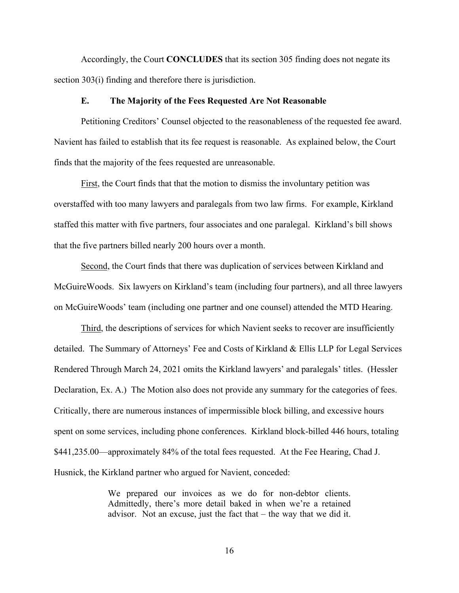Accordingly, the Court **CONCLUDES** that its section 305 finding does not negate its section 303(i) finding and therefore there is jurisdiction.

### **E. The Majority of the Fees Requested Are Not Reasonable**

Petitioning Creditors' Counsel objected to the reasonableness of the requested fee award. Navient has failed to establish that its fee request is reasonable. As explained below, the Court finds that the majority of the fees requested are unreasonable.

First, the Court finds that that the motion to dismiss the involuntary petition was overstaffed with too many lawyers and paralegals from two law firms. For example, Kirkland staffed this matter with five partners, four associates and one paralegal. Kirkland's bill shows that the five partners billed nearly 200 hours over a month.

Second, the Court finds that there was duplication of services between Kirkland and McGuireWoods. Six lawyers on Kirkland's team (including four partners), and all three lawyers on McGuireWoods' team (including one partner and one counsel) attended the MTD Hearing.

Third, the descriptions of services for which Navient seeks to recover are insufficiently detailed. The Summary of Attorneys' Fee and Costs of Kirkland & Ellis LLP for Legal Services Rendered Through March 24, 2021 omits the Kirkland lawyers' and paralegals' titles. (Hessler Declaration, Ex. A.) The Motion also does not provide any summary for the categories of fees. Critically, there are numerous instances of impermissible block billing, and excessive hours spent on some services, including phone conferences. Kirkland block-billed 446 hours, totaling \$441,235.00—approximately 84% of the total fees requested. At the Fee Hearing, Chad J. Husnick, the Kirkland partner who argued for Navient, conceded:

> We prepared our invoices as we do for non-debtor clients. Admittedly, there's more detail baked in when we're a retained advisor. Not an excuse, just the fact that – the way that we did it.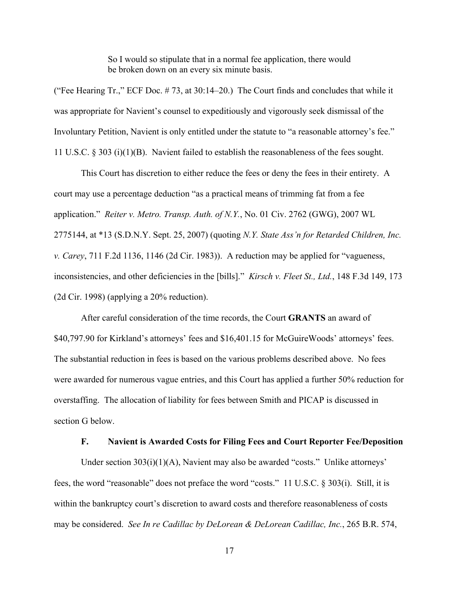So I would so stipulate that in a normal fee application, there would be broken down on an every six minute basis.

("Fee Hearing Tr.," ECF Doc. # 73, at 30:14–20.) The Court finds and concludes that while it was appropriate for Navient's counsel to expeditiously and vigorously seek dismissal of the Involuntary Petition, Navient is only entitled under the statute to "a reasonable attorney's fee." 11 U.S.C. § 303 (i)(1)(B). Navient failed to establish the reasonableness of the fees sought.

This Court has discretion to either reduce the fees or deny the fees in their entirety. A court may use a percentage deduction "as a practical means of trimming fat from a fee application." *Reiter v. Metro. Transp. Auth. of N.Y.*, No. 01 Civ. 2762 (GWG), 2007 WL 2775144, at \*13 (S.D.N.Y. Sept. 25, 2007) (quoting *N.Y. State Ass'n for Retarded Children, Inc. v. Carey*, 711 F.2d 1136, 1146 (2d Cir. 1983)). A reduction may be applied for "vagueness, inconsistencies, and other deficiencies in the [bills]." *Kirsch v. Fleet St., Ltd.*, 148 F.3d 149, 173 (2d Cir. 1998) (applying a 20% reduction).

After careful consideration of the time records, the Court **GRANTS** an award of \$40,797.90 for Kirkland's attorneys' fees and \$16,401.15 for McGuireWoods' attorneys' fees. The substantial reduction in fees is based on the various problems described above. No fees were awarded for numerous vague entries, and this Court has applied a further 50% reduction for overstaffing. The allocation of liability for fees between Smith and PICAP is discussed in section G below.

### **F. Navient is Awarded Costs for Filing Fees and Court Reporter Fee/Deposition**

Under section 303(i)(1)(A), Navient may also be awarded "costs." Unlike attorneys' fees, the word "reasonable" does not preface the word "costs." 11 U.S.C. § 303(i). Still, it is within the bankruptcy court's discretion to award costs and therefore reasonableness of costs may be considered. *See In re Cadillac by DeLorean & DeLorean Cadillac, Inc.*, 265 B.R. 574,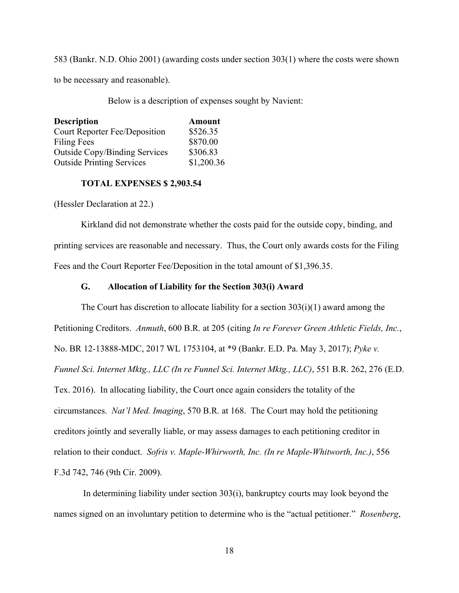583 (Bankr. N.D. Ohio 2001) (awarding costs under section 303(1) where the costs were shown

to be necessary and reasonable).

Below is a description of expenses sought by Navient:

| <b>Description</b>                   | <b>Amount</b> |  |
|--------------------------------------|---------------|--|
| Court Reporter Fee/Deposition        | \$526.35      |  |
| <b>Filing Fees</b>                   | \$870.00      |  |
| <b>Outside Copy/Binding Services</b> | \$306.83      |  |
| <b>Outside Printing Services</b>     | \$1,200.36    |  |

#### **TOTAL EXPENSES \$ 2,903.54**

(Hessler Declaration at 22.)

Kirkland did not demonstrate whether the costs paid for the outside copy, binding, and printing services are reasonable and necessary. Thus, the Court only awards costs for the Filing Fees and the Court Reporter Fee/Deposition in the total amount of \$1,396.35.

#### **G. Allocation of Liability for the Section 303(i) Award**

The Court has discretion to allocate liability for a section  $303(i)(1)$  award among the Petitioning Creditors. *Anmuth*, 600 B.R. at 205 (citing *In re Forever Green Athletic Fields, Inc.*, No. BR 12-13888-MDC, 2017 WL 1753104, at \*9 (Bankr. E.D. Pa. May 3, 2017); *Pyke v. Funnel Sci. Internet Mktg., LLC (In re Funnel Sci. Internet Mktg., LLC)*, 551 B.R. 262, 276 (E.D. Tex. 2016). In allocating liability, the Court once again considers the totality of the circumstances. *Nat'l Med. Imaging*, 570 B.R. at 168. The Court may hold the petitioning creditors jointly and severally liable, or may assess damages to each petitioning creditor in relation to their conduct. *Sofris v. Maple-Whirworth, Inc. (In re Maple-Whitworth, Inc.)*, 556 F.3d 742, 746 (9th Cir. 2009).

 In determining liability under section 303(i), bankruptcy courts may look beyond the names signed on an involuntary petition to determine who is the "actual petitioner." *Rosenberg*,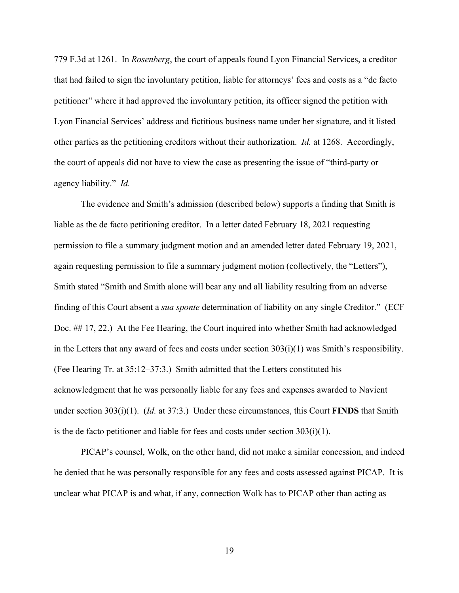779 F.3d at 1261. In *Rosenberg*, the court of appeals found Lyon Financial Services, a creditor that had failed to sign the involuntary petition, liable for attorneys' fees and costs as a "de facto petitioner" where it had approved the involuntary petition, its officer signed the petition with Lyon Financial Services' address and fictitious business name under her signature, and it listed other parties as the petitioning creditors without their authorization. *Id.* at 1268. Accordingly, the court of appeals did not have to view the case as presenting the issue of "third-party or agency liability." *Id.* 

The evidence and Smith's admission (described below) supports a finding that Smith is liable as the de facto petitioning creditor. In a letter dated February 18, 2021 requesting permission to file a summary judgment motion and an amended letter dated February 19, 2021, again requesting permission to file a summary judgment motion (collectively, the "Letters"), Smith stated "Smith and Smith alone will bear any and all liability resulting from an adverse finding of this Court absent a *sua sponte* determination of liability on any single Creditor." (ECF Doc. ## 17, 22.) At the Fee Hearing, the Court inquired into whether Smith had acknowledged in the Letters that any award of fees and costs under section  $303(i)(1)$  was Smith's responsibility. (Fee Hearing Tr. at 35:12–37:3.) Smith admitted that the Letters constituted his acknowledgment that he was personally liable for any fees and expenses awarded to Navient under section 303(i)(1). (*Id.* at 37:3.) Under these circumstances, this Court **FINDS** that Smith is the de facto petitioner and liable for fees and costs under section  $303(i)(1)$ .

PICAP's counsel, Wolk, on the other hand, did not make a similar concession, and indeed he denied that he was personally responsible for any fees and costs assessed against PICAP. It is unclear what PICAP is and what, if any, connection Wolk has to PICAP other than acting as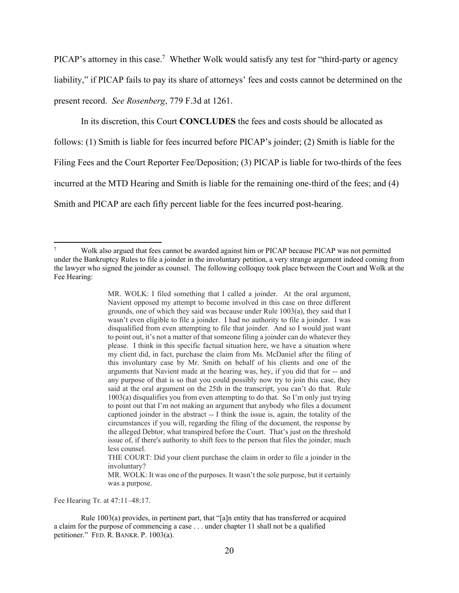PICAP's attorney in this case.<sup>7</sup> Whether Wolk would satisfy any test for "third-party or agency liability," if PICAP fails to pay its share of attorneys' fees and costs cannot be determined on the present record. *See Rosenberg*, 779 F.3d at 1261.

In its discretion, this Court **CONCLUDES** the fees and costs should be allocated as

follows: (1) Smith is liable for fees incurred before PICAP's joinder; (2) Smith is liable for the

Filing Fees and the Court Reporter Fee/Deposition; (3) PICAP is liable for two-thirds of the fees

incurred at the MTD Hearing and Smith is liable for the remaining one-third of the fees; and (4)

Smith and PICAP are each fifty percent liable for the fees incurred post-hearing.

MR. WOLK: I filed something that I called a joinder. At the oral argument, Navient opposed my attempt to become involved in this case on three different grounds, one of which they said was because under Rule 1003(a), they said that I wasn't even eligible to file a joinder. I had no authority to file a joinder. I was disqualified from even attempting to file that joinder. And so I would just want to point out, it's not a matter of that someone filing a joinder can do whatever they please. I think in this specific factual situation here, we have a situation where my client did, in fact, purchase the claim from Ms. McDaniel after the filing of this involuntary case by Mr. Smith on behalf of his clients and one of the arguments that Navient made at the hearing was, hey, if you did that for -- and any purpose of that is so that you could possibly now try to join this case, they said at the oral argument on the 25th in the transcript, you can't do that. Rule 1003(a) disqualifies you from even attempting to do that. So I'm only just trying to point out that I'm not making an argument that anybody who files a document captioned joinder in the abstract -- I think the issue is, again, the totality of the circumstances if you will, regarding the filing of the document, the response by the alleged Debtor, what transpired before the Court. That's just on the threshold issue of, if there's authority to shift fees to the person that files the joinder, much less counsel.

Fee Hearing Tr. at 47:11–48:17.

<sup>7</sup> Wolk also argued that fees cannot be awarded against him or PICAP because PICAP was not permitted under the Bankruptcy Rules to file a joinder in the involuntary petition, a very strange argument indeed coming from the lawyer who signed the joinder as counsel. The following colloquy took place between the Court and Wolk at the Fee Hearing:

THE COURT: Did your client purchase the claim in order to file a joinder in the involuntary?

MR. WOLK: It was one of the purposes. It wasn't the sole purpose, but it certainly was a purpose.

Rule 1003(a) provides, in pertinent part, that "[a]n entity that has transferred or acquired a claim for the purpose of commencing a case . . . under chapter 11 shall not be a qualified petitioner." FED. R. BANKR. P. 1003(a).